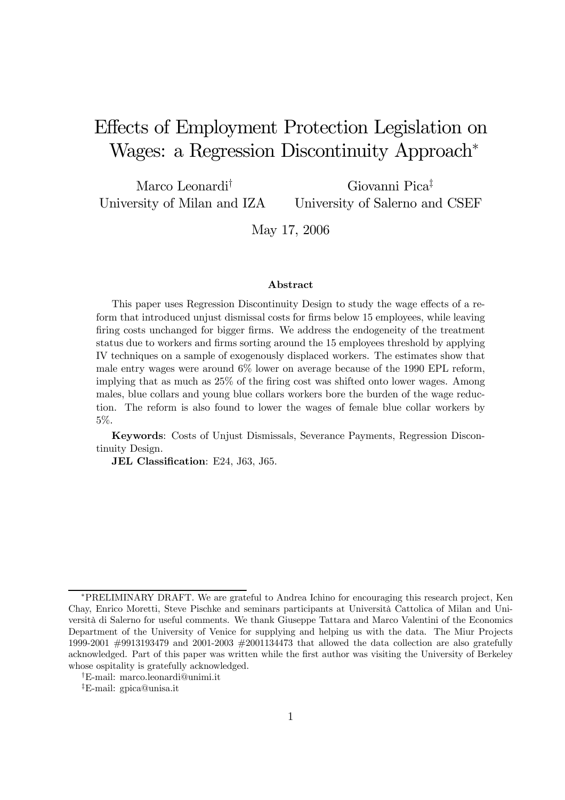# Effects of Employment Protection Legislation on Wages: a Regression Discontinuity Approach<sup>∗</sup>

Marco Leonardi† University of Milan and IZA Giovanni Pica‡ University of Salerno and CSEF

May 17, 2006

#### Abstract

This paper uses Regression Discontinuity Design to study the wage effects of a reform that introduced unjust dismissal costs for firms below 15 employees, while leaving firing costs unchanged for bigger firms. We address the endogeneity of the treatment status due to workers and firms sorting around the 15 employees threshold by applying IV techniques on a sample of exogenously displaced workers. The estimates show that male entry wages were around 6% lower on average because of the 1990 EPL reform, implying that as much as 25% of the firing cost was shifted onto lower wages. Among males, blue collars and young blue collars workers bore the burden of the wage reduction. The reform is also found to lower the wages of female blue collar workers by 5%.

Keywords: Costs of Unjust Dismissals, Severance Payments, Regression Discontinuity Design.

JEL Classification: E24, J63, J65.

<sup>∗</sup>PRELIMINARY DRAFT. We are grateful to Andrea Ichino for encouraging this research project, Ken Chay, Enrico Moretti, Steve Pischke and seminars participants at Università Cattolica of Milan and Università di Salerno for useful comments. We thank Giuseppe Tattara and Marco Valentini of the Economics Department of the University of Venice for supplying and helping us with the data. The Miur Projects 1999-2001 #9913193479 and 2001-2003 #2001134473 that allowed the data collection are also gratefully acknowledged. Part of this paper was written while the first author was visiting the University of Berkeley whose ospitality is gratefully acknowledged.

<sup>†</sup>E-mail: marco.leonardi@unimi.it

<sup>‡</sup>E-mail: gpica@unisa.it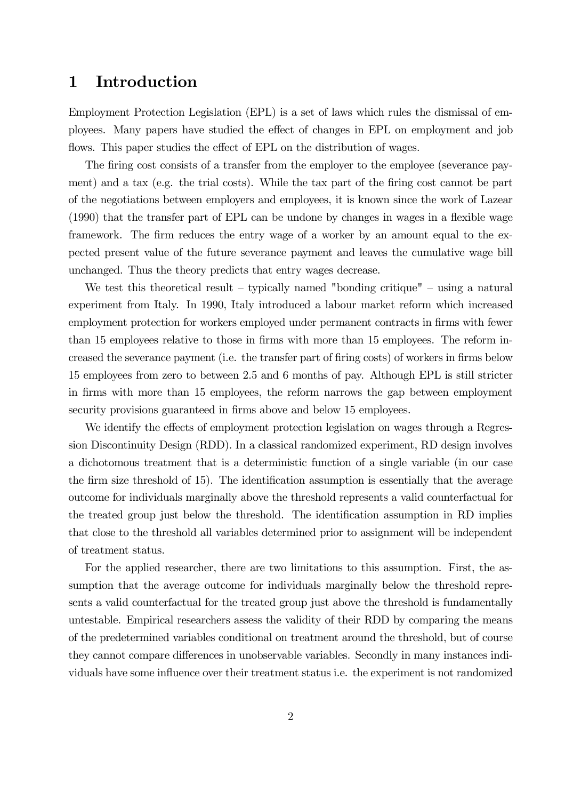### 1 Introduction

Employment Protection Legislation (EPL) is a set of laws which rules the dismissal of employees. Many papers have studied the effect of changes in EPL on employment and job flows. This paper studies the effect of EPL on the distribution of wages.

The firing cost consists of a transfer from the employer to the employee (severance payment) and a tax (e.g. the trial costs). While the tax part of the firing cost cannot be part of the negotiations between employers and employees, it is known since the work of Lazear (1990) that the transfer part of EPL can be undone by changes in wages in a flexible wage framework. The firm reduces the entry wage of a worker by an amount equal to the expected present value of the future severance payment and leaves the cumulative wage bill unchanged. Thus the theory predicts that entry wages decrease.

We test this theoretical result – typically named "bonding critique" – using a natural experiment from Italy. In 1990, Italy introduced a labour market reform which increased employment protection for workers employed under permanent contracts in firms with fewer than 15 employees relative to those in firms with more than 15 employees. The reform increased the severance payment (i.e. the transfer part of firing costs) of workers in firms below 15 employees from zero to between 2.5 and 6 months of pay. Although EPL is still stricter in firms with more than 15 employees, the reform narrows the gap between employment security provisions guaranteed in firms above and below 15 employees.

We identify the effects of employment protection legislation on wages through a Regression Discontinuity Design (RDD). In a classical randomized experiment, RD design involves a dichotomous treatment that is a deterministic function of a single variable (in our case the firm size threshold of 15). The identification assumption is essentially that the average outcome for individuals marginally above the threshold represents a valid counterfactual for the treated group just below the threshold. The identification assumption in RD implies that close to the threshold all variables determined prior to assignment will be independent of treatment status.

For the applied researcher, there are two limitations to this assumption. First, the assumption that the average outcome for individuals marginally below the threshold represents a valid counterfactual for the treated group just above the threshold is fundamentally untestable. Empirical researchers assess the validity of their RDD by comparing the means of the predetermined variables conditional on treatment around the threshold, but of course they cannot compare differences in unobservable variables. Secondly in many instances individuals have some influence over their treatment status i.e. the experiment is not randomized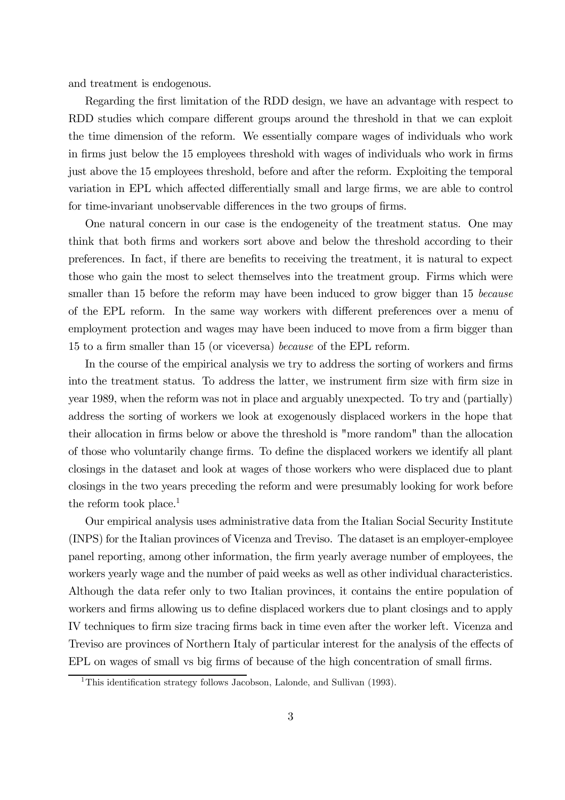and treatment is endogenous.

Regarding the first limitation of the RDD design, we have an advantage with respect to RDD studies which compare different groups around the threshold in that we can exploit the time dimension of the reform. We essentially compare wages of individuals who work in firms just below the 15 employees threshold with wages of individuals who work in firms just above the 15 employees threshold, before and after the reform. Exploiting the temporal variation in EPL which affected differentially small and large firms, we are able to control for time-invariant unobservable differences in the two groups of firms.

One natural concern in our case is the endogeneity of the treatment status. One may think that both firms and workers sort above and below the threshold according to their preferences. In fact, if there are benefits to receiving the treatment, it is natural to expect those who gain the most to select themselves into the treatment group. Firms which were smaller than 15 before the reform may have been induced to grow bigger than 15 because of the EPL reform. In the same way workers with different preferences over a menu of employment protection and wages may have been induced to move from a firm bigger than 15 to a firm smaller than 15 (or viceversa) because of the EPL reform.

In the course of the empirical analysis we try to address the sorting of workers and firms into the treatment status. To address the latter, we instrument firm size with firm size in year 1989, when the reform was not in place and arguably unexpected. To try and (partially) address the sorting of workers we look at exogenously displaced workers in the hope that their allocation in firms below or above the threshold is "more random" than the allocation of those who voluntarily change firms. To define the displaced workers we identify all plant closings in the dataset and look at wages of those workers who were displaced due to plant closings in the two years preceding the reform and were presumably looking for work before the reform took place.<sup>1</sup>

Our empirical analysis uses administrative data from the Italian Social Security Institute (INPS) for the Italian provinces of Vicenza and Treviso. The dataset is an employer-employee panel reporting, among other information, the firm yearly average number of employees, the workers yearly wage and the number of paid weeks as well as other individual characteristics. Although the data refer only to two Italian provinces, it contains the entire population of workers and firms allowing us to define displaced workers due to plant closings and to apply IV techniques to firm size tracing firms back in time even after the worker left. Vicenza and Treviso are provinces of Northern Italy of particular interest for the analysis of the effects of EPL on wages of small vs big firms of because of the high concentration of small firms.

<sup>&</sup>lt;sup>1</sup>This identification strategy follows Jacobson, Lalonde, and Sullivan (1993).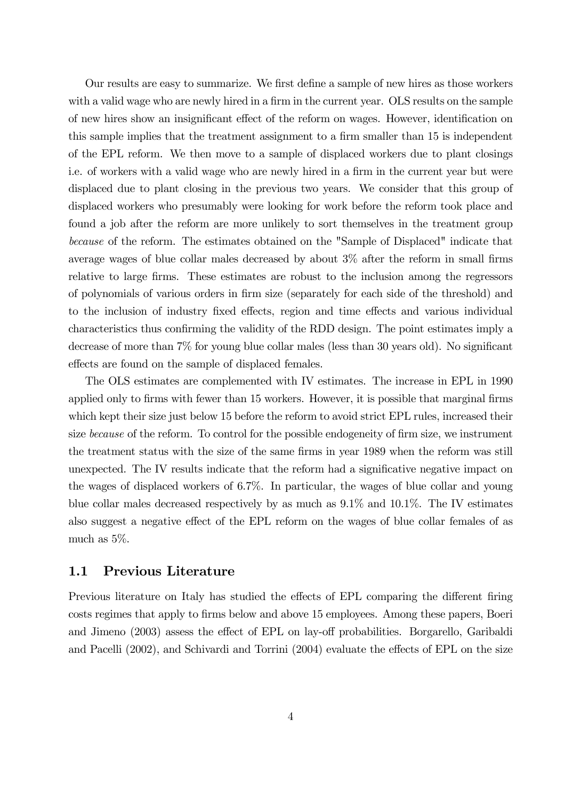Our results are easy to summarize. We first define a sample of new hires as those workers with a valid wage who are newly hired in a firm in the current year. OLS results on the sample of new hires show an insignificant effect of the reform on wages. However, identification on this sample implies that the treatment assignment to a firm smaller than 15 is independent of the EPL reform. We then move to a sample of displaced workers due to plant closings i.e. of workers with a valid wage who are newly hired in a firm in the current year but were displaced due to plant closing in the previous two years. We consider that this group of displaced workers who presumably were looking for work before the reform took place and found a job after the reform are more unlikely to sort themselves in the treatment group because of the reform. The estimates obtained on the "Sample of Displaced" indicate that average wages of blue collar males decreased by about 3% after the reform in small firms relative to large firms. These estimates are robust to the inclusion among the regressors of polynomials of various orders in firm size (separately for each side of the threshold) and to the inclusion of industry fixed effects, region and time effects and various individual characteristics thus confirming the validity of the RDD design. The point estimates imply a decrease of more than 7% for young blue collar males (less than 30 years old). No significant effects are found on the sample of displaced females.

The OLS estimates are complemented with IV estimates. The increase in EPL in 1990 applied only to firms with fewer than 15 workers. However, it is possible that marginal firms which kept their size just below 15 before the reform to avoid strict EPL rules, increased their size because of the reform. To control for the possible endogeneity of firm size, we instrument the treatment status with the size of the same firms in year 1989 when the reform was still unexpected. The IV results indicate that the reform had a significative negative impact on the wages of displaced workers of 6.7%. In particular, the wages of blue collar and young blue collar males decreased respectively by as much as 9.1% and 10.1%. The IV estimates also suggest a negative effect of the EPL reform on the wages of blue collar females of as much as 5%.

### 1.1 Previous Literature

Previous literature on Italy has studied the effects of EPL comparing the different firing costs regimes that apply to firms below and above 15 employees. Among these papers, Boeri and Jimeno (2003) assess the effect of EPL on lay-off probabilities. Borgarello, Garibaldi and Pacelli (2002), and Schivardi and Torrini (2004) evaluate the effects of EPL on the size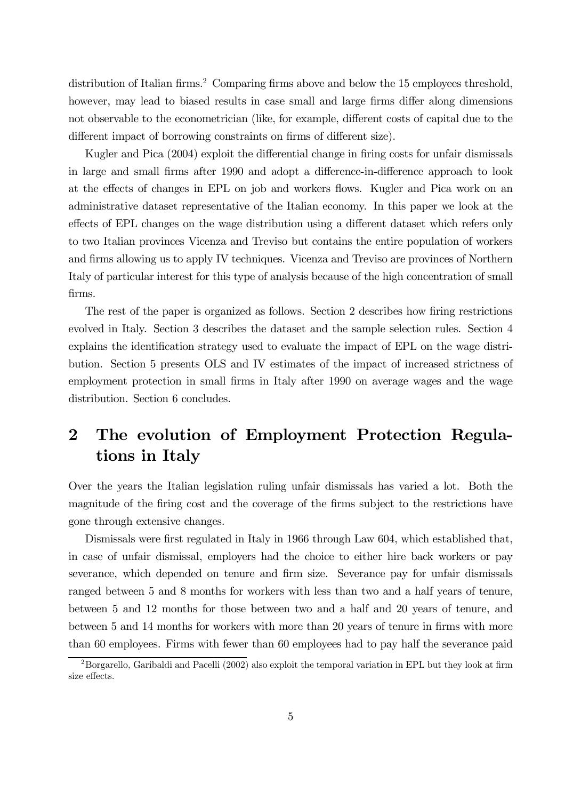distribution of Italian firms.<sup>2</sup> Comparing firms above and below the 15 employees threshold, however, may lead to biased results in case small and large firms differ along dimensions not observable to the econometrician (like, for example, different costs of capital due to the different impact of borrowing constraints on firms of different size).

Kugler and Pica (2004) exploit the differential change in firing costs for unfair dismissals in large and small firms after 1990 and adopt a difference-in-difference approach to look at the effects of changes in EPL on job and workers flows. Kugler and Pica work on an administrative dataset representative of the Italian economy. In this paper we look at the effects of EPL changes on the wage distribution using a different dataset which refers only to two Italian provinces Vicenza and Treviso but contains the entire population of workers and firms allowing us to apply IV techniques. Vicenza and Treviso are provinces of Northern Italy of particular interest for this type of analysis because of the high concentration of small firms.

The rest of the paper is organized as follows. Section 2 describes how firing restrictions evolved in Italy. Section 3 describes the dataset and the sample selection rules. Section 4 explains the identification strategy used to evaluate the impact of EPL on the wage distribution. Section 5 presents OLS and IV estimates of the impact of increased strictness of employment protection in small firms in Italy after 1990 on average wages and the wage distribution. Section 6 concludes.

## 2 The evolution of Employment Protection Regulations in Italy

Over the years the Italian legislation ruling unfair dismissals has varied a lot. Both the magnitude of the firing cost and the coverage of the firms subject to the restrictions have gone through extensive changes.

Dismissals were first regulated in Italy in 1966 through Law 604, which established that, in case of unfair dismissal, employers had the choice to either hire back workers or pay severance, which depended on tenure and firm size. Severance pay for unfair dismissals ranged between 5 and 8 months for workers with less than two and a half years of tenure, between 5 and 12 months for those between two and a half and 20 years of tenure, and between 5 and 14 months for workers with more than 20 years of tenure in firms with more than 60 employees. Firms with fewer than 60 employees had to pay half the severance paid

<sup>&</sup>lt;sup>2</sup>Borgarello, Garibaldi and Pacelli (2002) also exploit the temporal variation in EPL but they look at firm size effects.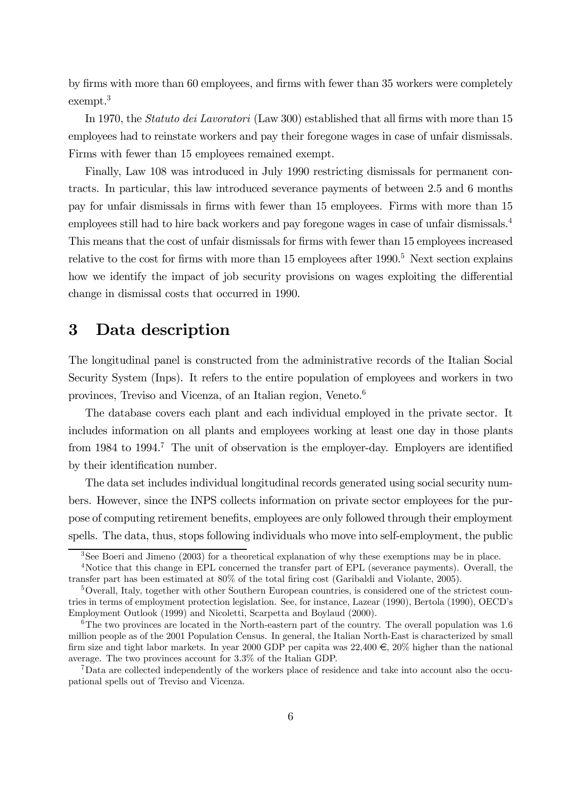by firms with more than 60 employees, and firms with fewer than 35 workers were completely exempt.3

In 1970, the Statuto dei Lavoratori (Law 300) established that all firms with more than 15 employees had to reinstate workers and pay their foregone wages in case of unfair dismissals. Firms with fewer than 15 employees remained exempt.

Finally, Law 108 was introduced in July 1990 restricting dismissals for permanent contracts. In particular, this law introduced severance payments of between 2.5 and 6 months pay for unfair dismissals in firms with fewer than 15 employees. Firms with more than 15 employees still had to hire back workers and pay foregone wages in case of unfair dismissals.4 This means that the cost of unfair dismissals for firms with fewer than 15 employees increased relative to the cost for firms with more than  $15$  employees after  $1990$ .<sup>5</sup> Next section explains how we identify the impact of job security provisions on wages exploiting the differential change in dismissal costs that occurred in 1990.

### 3 Data description

The longitudinal panel is constructed from the administrative records of the Italian Social Security System (Inps). It refers to the entire population of employees and workers in two provinces, Treviso and Vicenza, of an Italian region, Veneto.<sup>6</sup>

The database covers each plant and each individual employed in the private sector. It includes information on all plants and employees working at least one day in those plants from 1984 to 1994.<sup>7</sup> The unit of observation is the employer-day. Employers are identified by their identification number.

The data set includes individual longitudinal records generated using social security numbers. However, since the INPS collects information on private sector employees for the purpose of computing retirement benefits, employees are only followed through their employment spells. The data, thus, stops following individuals who move into self-employment, the public

<sup>&</sup>lt;sup>3</sup>See Boeri and Jimeno (2003) for a theoretical explanation of why these exemptions may be in place.

<sup>&</sup>lt;sup>4</sup>Notice that this change in EPL concerned the transfer part of EPL (severance payments). Overall, the transfer part has been estimated at 80% of the total firing cost (Garibaldi and Violante, 2005).

 $5$ Overall, Italy, together with other Southern European countries, is considered one of the strictest countries in terms of employment protection legislation. See, for instance, Lazear (1990), Bertola (1990), OECD's Employment Outlook (1999) and Nicoletti, Scarpetta and Boylaud (2000).

 $6$ The two provinces are located in the North-eastern part of the country. The overall population was 1.6 million people as of the 2001 Population Census. In general, the Italian North-East is characterized by small firm size and tight labor markets. In year 2000 GDP per capita was  $22,400 \in 20\%$  higher than the national average. The two provinces account for 3.3% of the Italian GDP.

<sup>7</sup>Data are collected independently of the workers place of residence and take into account also the occupational spells out of Treviso and Vicenza.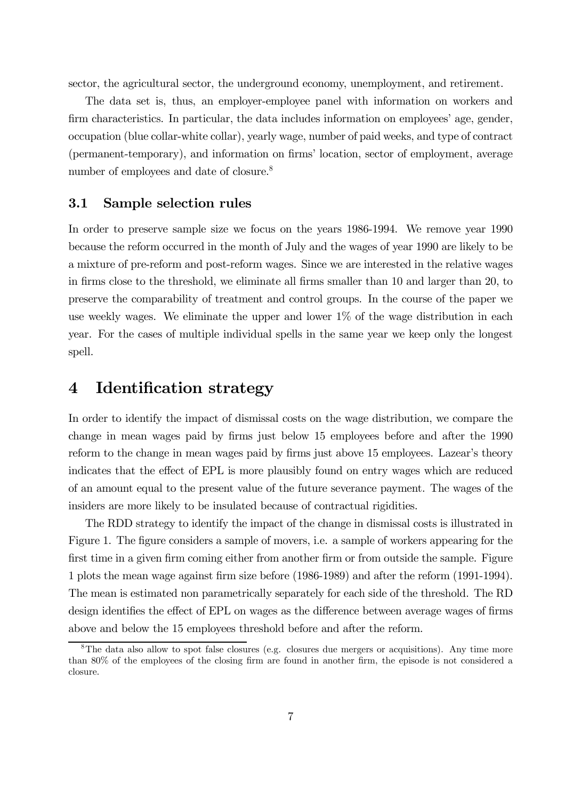sector, the agricultural sector, the underground economy, unemployment, and retirement.

The data set is, thus, an employer-employee panel with information on workers and firm characteristics. In particular, the data includes information on employees' age, gender, occupation (blue collar-white collar), yearly wage, number of paid weeks, and type of contract (permanent-temporary), and information on firms' location, sector of employment, average number of employees and date of closure.<sup>8</sup>

### 3.1 Sample selection rules

In order to preserve sample size we focus on the years 1986-1994. We remove year 1990 because the reform occurred in the month of July and the wages of year 1990 are likely to be a mixture of pre-reform and post-reform wages. Since we are interested in the relative wages in firms close to the threshold, we eliminate all firms smaller than 10 and larger than 20, to preserve the comparability of treatment and control groups. In the course of the paper we use weekly wages. We eliminate the upper and lower  $1\%$  of the wage distribution in each year. For the cases of multiple individual spells in the same year we keep only the longest spell.

### 4 Identification strategy

In order to identify the impact of dismissal costs on the wage distribution, we compare the change in mean wages paid by firms just below 15 employees before and after the 1990 reform to the change in mean wages paid by firms just above 15 employees. Lazear's theory indicates that the effect of EPL is more plausibly found on entry wages which are reduced of an amount equal to the present value of the future severance payment. The wages of the insiders are more likely to be insulated because of contractual rigidities.

The RDD strategy to identify the impact of the change in dismissal costs is illustrated in Figure 1. The figure considers a sample of movers, i.e. a sample of workers appearing for the first time in a given firm coming either from another firm or from outside the sample. Figure 1 plots the mean wage against firm size before (1986-1989) and after the reform (1991-1994). The mean is estimated non parametrically separately for each side of the threshold. The RD design identifies the effect of EPL on wages as the difference between average wages of firms above and below the 15 employees threshold before and after the reform.

<sup>&</sup>lt;sup>8</sup>The data also allow to spot false closures (e.g. closures due mergers or acquisitions). Any time more than 80% of the employees of the closing firm are found in another firm, the episode is not considered a closure.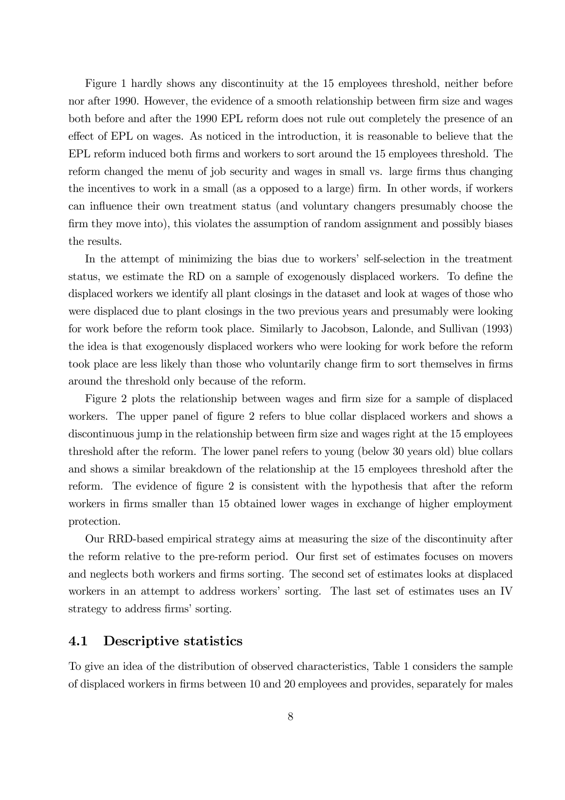Figure 1 hardly shows any discontinuity at the 15 employees threshold, neither before nor after 1990. However, the evidence of a smooth relationship between firm size and wages both before and after the 1990 EPL reform does not rule out completely the presence of an effect of EPL on wages. As noticed in the introduction, it is reasonable to believe that the EPL reform induced both firms and workers to sort around the 15 employees threshold. The reform changed the menu of job security and wages in small vs. large firms thus changing the incentives to work in a small (as a opposed to a large) firm. In other words, if workers can influence their own treatment status (and voluntary changers presumably choose the firm they move into), this violates the assumption of random assignment and possibly biases the results.

In the attempt of minimizing the bias due to workers' self-selection in the treatment status, we estimate the RD on a sample of exogenously displaced workers. To define the displaced workers we identify all plant closings in the dataset and look at wages of those who were displaced due to plant closings in the two previous years and presumably were looking for work before the reform took place. Similarly to Jacobson, Lalonde, and Sullivan (1993) the idea is that exogenously displaced workers who were looking for work before the reform took place are less likely than those who voluntarily change firm to sort themselves in firms around the threshold only because of the reform.

Figure 2 plots the relationship between wages and firm size for a sample of displaced workers. The upper panel of figure 2 refers to blue collar displaced workers and shows a discontinuous jump in the relationship between firm size and wages right at the 15 employees threshold after the reform. The lower panel refers to young (below 30 years old) blue collars and shows a similar breakdown of the relationship at the 15 employees threshold after the reform. The evidence of figure 2 is consistent with the hypothesis that after the reform workers in firms smaller than 15 obtained lower wages in exchange of higher employment protection.

Our RRD-based empirical strategy aims at measuring the size of the discontinuity after the reform relative to the pre-reform period. Our first set of estimates focuses on movers and neglects both workers and firms sorting. The second set of estimates looks at displaced workers in an attempt to address workers' sorting. The last set of estimates uses an IV strategy to address firms' sorting.

#### 4.1 Descriptive statistics

To give an idea of the distribution of observed characteristics, Table 1 considers the sample of displaced workers in firms between 10 and 20 employees and provides, separately for males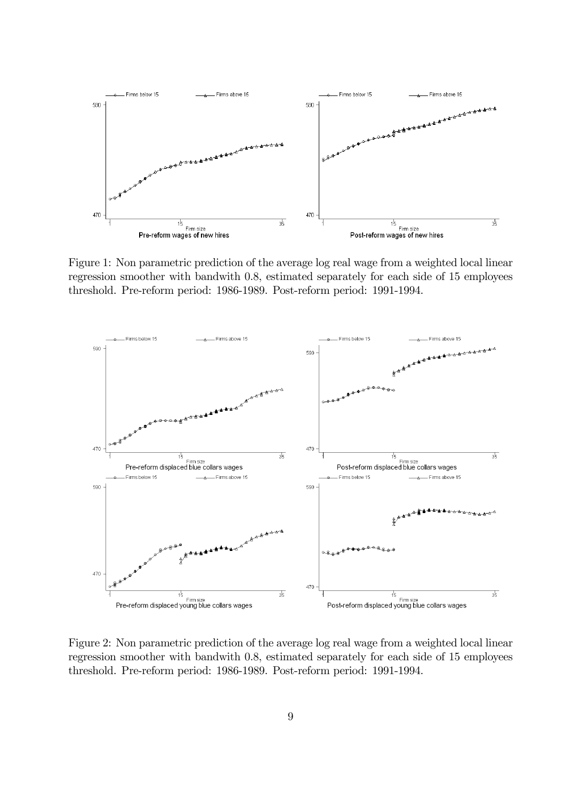

Figure 1: Non parametric prediction of the average log real wage from a weighted local linear regression smoother with bandwith 0.8, estimated separately for each side of 15 employees threshold. Pre-reform period: 1986-1989. Post-reform period: 1991-1994.



Figure 2: Non parametric prediction of the average log real wage from a weighted local linear regression smoother with bandwith 0.8, estimated separately for each side of 15 employees threshold. Pre-reform period: 1986-1989. Post-reform period: 1991-1994.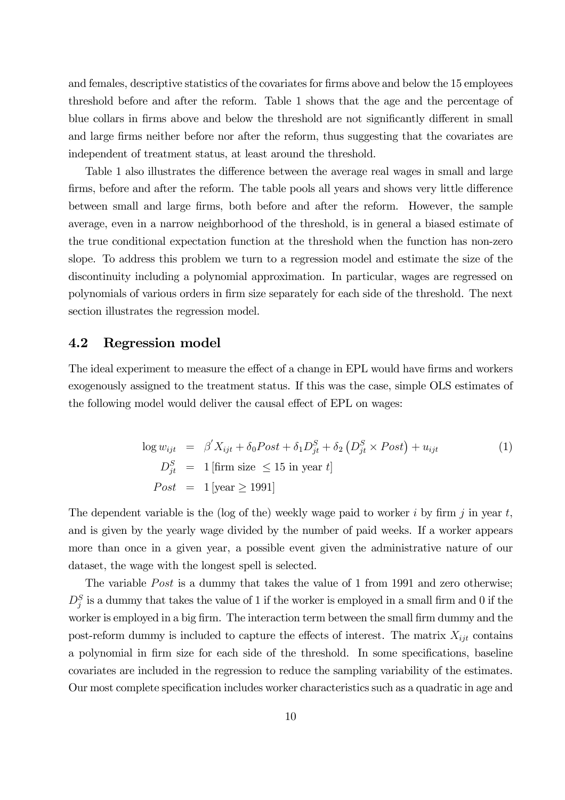and females, descriptive statistics of the covariates for firms above and below the 15 employees threshold before and after the reform. Table 1 shows that the age and the percentage of blue collars in firms above and below the threshold are not significantly different in small and large firms neither before nor after the reform, thus suggesting that the covariates are independent of treatment status, at least around the threshold.

Table 1 also illustrates the difference between the average real wages in small and large firms, before and after the reform. The table pools all years and shows very little difference between small and large firms, both before and after the reform. However, the sample average, even in a narrow neighborhood of the threshold, is in general a biased estimate of the true conditional expectation function at the threshold when the function has non-zero slope. To address this problem we turn to a regression model and estimate the size of the discontinuity including a polynomial approximation. In particular, wages are regressed on polynomials of various orders in firm size separately for each side of the threshold. The next section illustrates the regression model.

#### 4.2 Regression model

The ideal experiment to measure the effect of a change in EPL would have firms and workers exogenously assigned to the treatment status. If this was the case, simple OLS estimates of the following model would deliver the causal effect of EPL on wages:

$$
\log w_{ijt} = \beta' X_{ijt} + \delta_0 Post + \delta_1 D_{jt}^S + \delta_2 (D_{jt}^S \times Post) + u_{ijt}
$$
  
\n
$$
D_{jt}^S = 1 \text{ [firm size } \le 15 \text{ in year } t\text{]}
$$
  
\n
$$
Post = 1 \text{ [year } \ge 1991\text{]}
$$
 (1)

The dependent variable is the (log of the) weekly wage paid to worker i by firm j in year t, and is given by the yearly wage divided by the number of paid weeks. If a worker appears more than once in a given year, a possible event given the administrative nature of our dataset, the wage with the longest spell is selected.

The variable *Post* is a dummy that takes the value of 1 from 1991 and zero otherwise;  $D_j^S$  is a dummy that takes the value of 1 if the worker is employed in a small firm and 0 if the worker is employed in a big firm. The interaction term between the small firm dummy and the post-reform dummy is included to capture the effects of interest. The matrix  $X_{ijt}$  contains a polynomial in firm size for each side of the threshold. In some specifications, baseline covariates are included in the regression to reduce the sampling variability of the estimates. Our most complete specification includes worker characteristics such as a quadratic in age and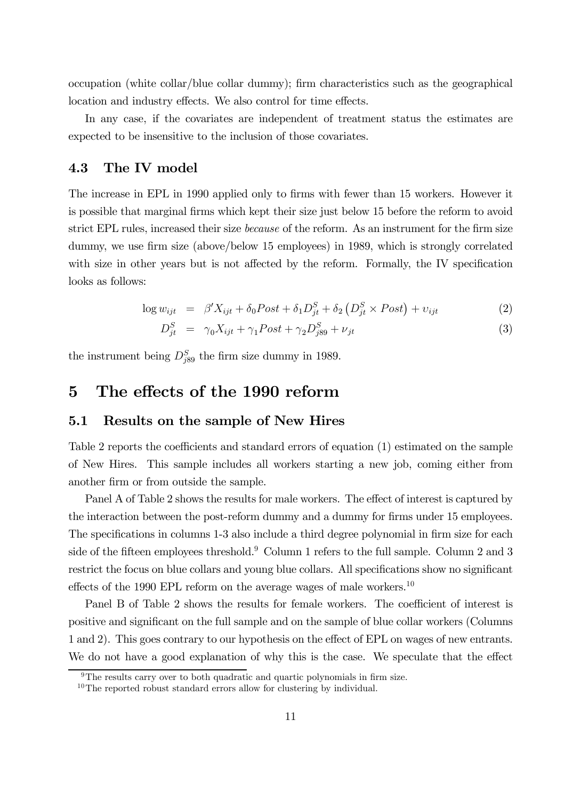occupation (white collar/blue collar dummy); firm characteristics such as the geographical location and industry effects. We also control for time effects.

In any case, if the covariates are independent of treatment status the estimates are expected to be insensitive to the inclusion of those covariates.

#### 4.3 The IV model

The increase in EPL in 1990 applied only to firms with fewer than 15 workers. However it is possible that marginal firms which kept their size just below 15 before the reform to avoid strict EPL rules, increased their size because of the reform. As an instrument for the firm size dummy, we use firm size (above/below 15 employees) in 1989, which is strongly correlated with size in other years but is not affected by the reform. Formally, the IV specification looks as follows:

$$
\log w_{ijt} = \beta' X_{ijt} + \delta_0 Post + \delta_1 D_{jt}^S + \delta_2 \left( D_{jt}^S \times Post \right) + v_{ijt}
$$
 (2)

$$
D_{jt}^{S} = \gamma_0 X_{ijt} + \gamma_1 Post + \gamma_2 D_{j89}^{S} + \nu_{jt}
$$
\n(3)

the instrument being  $D_{j89}^S$  the firm size dummy in 1989.

### 5 The effects of the 1990 reform

#### 5.1 Results on the sample of New Hires

Table 2 reports the coefficients and standard errors of equation (1) estimated on the sample of New Hires. This sample includes all workers starting a new job, coming either from another firm or from outside the sample.

Panel A of Table 2 shows the results for male workers. The effect of interest is captured by the interaction between the post-reform dummy and a dummy for firms under 15 employees. The specifications in columns 1-3 also include a third degree polynomial in firm size for each side of the fifteen employees threshold.<sup>9</sup> Column 1 refers to the full sample. Column 2 and 3 restrict the focus on blue collars and young blue collars. All specifications show no significant effects of the 1990 EPL reform on the average wages of male workers.<sup>10</sup>

Panel B of Table 2 shows the results for female workers. The coefficient of interest is positive and significant on the full sample and on the sample of blue collar workers (Columns 1 and 2). This goes contrary to our hypothesis on the effect of EPL on wages of new entrants. We do not have a good explanation of why this is the case. We speculate that the effect

<sup>&</sup>lt;sup>9</sup>The results carry over to both quadratic and quartic polynomials in firm size.

<sup>&</sup>lt;sup>10</sup>The reported robust standard errors allow for clustering by individual.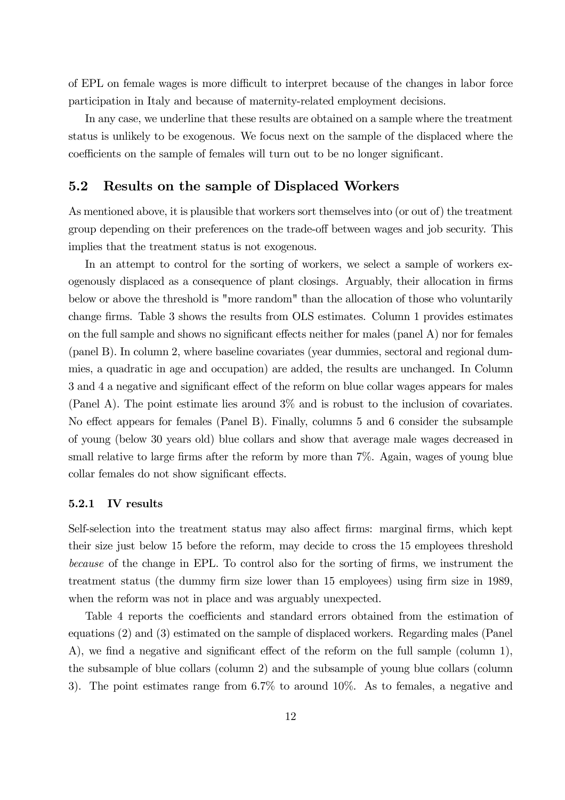of EPL on female wages is more difficult to interpret because of the changes in labor force participation in Italy and because of maternity-related employment decisions.

In any case, we underline that these results are obtained on a sample where the treatment status is unlikely to be exogenous. We focus next on the sample of the displaced where the coefficients on the sample of females will turn out to be no longer significant.

### 5.2 Results on the sample of Displaced Workers

As mentioned above, it is plausible that workers sort themselves into (or out of) the treatment group depending on their preferences on the trade-off between wages and job security. This implies that the treatment status is not exogenous.

In an attempt to control for the sorting of workers, we select a sample of workers exogenously displaced as a consequence of plant closings. Arguably, their allocation in firms below or above the threshold is "more random" than the allocation of those who voluntarily change firms. Table 3 shows the results from OLS estimates. Column 1 provides estimates on the full sample and shows no significant effects neither for males (panel A) nor for females (panel B). In column 2, where baseline covariates (year dummies, sectoral and regional dummies, a quadratic in age and occupation) are added, the results are unchanged. In Column 3 and 4 a negative and significant effect of the reform on blue collar wages appears for males (Panel A). The point estimate lies around 3% and is robust to the inclusion of covariates. No effect appears for females (Panel B). Finally, columns 5 and 6 consider the subsample of young (below 30 years old) blue collars and show that average male wages decreased in small relative to large firms after the reform by more than 7%. Again, wages of young blue collar females do not show significant effects.

#### 5.2.1 IV results

Self-selection into the treatment status may also affect firms: marginal firms, which kept their size just below 15 before the reform, may decide to cross the 15 employees threshold because of the change in EPL. To control also for the sorting of firms, we instrument the treatment status (the dummy firm size lower than 15 employees) using firm size in 1989, when the reform was not in place and was arguably unexpected.

Table 4 reports the coefficients and standard errors obtained from the estimation of equations (2) and (3) estimated on the sample of displaced workers. Regarding males (Panel A), we find a negative and significant effect of the reform on the full sample (column 1), the subsample of blue collars (column 2) and the subsample of young blue collars (column 3). The point estimates range from 6.7% to around 10%. As to females, a negative and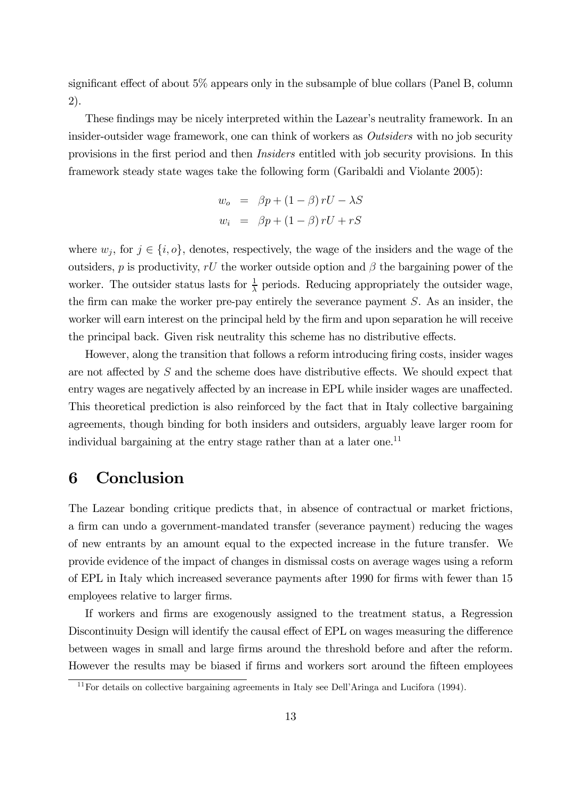significant effect of about 5% appears only in the subsample of blue collars (Panel B, column 2).

These findings may be nicely interpreted within the Lazear's neutrality framework. In an insider-outsider wage framework, one can think of workers as Outsiders with no job security provisions in the first period and then Insiders entitled with job security provisions. In this framework steady state wages take the following form (Garibaldi and Violante 2005):

$$
w_o = \beta p + (1 - \beta) rU - \lambda S
$$
  

$$
w_i = \beta p + (1 - \beta) rU + rS
$$

where  $w_i$ , for  $j \in \{i, o\}$ , denotes, respectively, the wage of the insiders and the wage of the outsiders, p is productivity, rU the worker outside option and  $\beta$  the bargaining power of the worker. The outsider status lasts for  $\frac{1}{\lambda}$  periods. Reducing appropriately the outsider wage, the firm can make the worker pre-pay entirely the severance payment S. As an insider, the worker will earn interest on the principal held by the firm and upon separation he will receive the principal back. Given risk neutrality this scheme has no distributive effects.

However, along the transition that follows a reform introducing firing costs, insider wages are not affected by  $S$  and the scheme does have distributive effects. We should expect that entry wages are negatively affected by an increase in EPL while insider wages are unaffected. This theoretical prediction is also reinforced by the fact that in Italy collective bargaining agreements, though binding for both insiders and outsiders, arguably leave larger room for individual bargaining at the entry stage rather than at a later one.<sup>11</sup>

### 6 Conclusion

The Lazear bonding critique predicts that, in absence of contractual or market frictions, a firm can undo a government-mandated transfer (severance payment) reducing the wages of new entrants by an amount equal to the expected increase in the future transfer. We provide evidence of the impact of changes in dismissal costs on average wages using a reform of EPL in Italy which increased severance payments after 1990 for firms with fewer than 15 employees relative to larger firms.

If workers and firms are exogenously assigned to the treatment status, a Regression Discontinuity Design will identify the causal effect of EPL on wages measuring the difference between wages in small and large firms around the threshold before and after the reform. However the results may be biased if firms and workers sort around the fifteen employees

<sup>&</sup>lt;sup>11</sup>For details on collective bargaining agreements in Italy see Dell'Aringa and Lucifora (1994).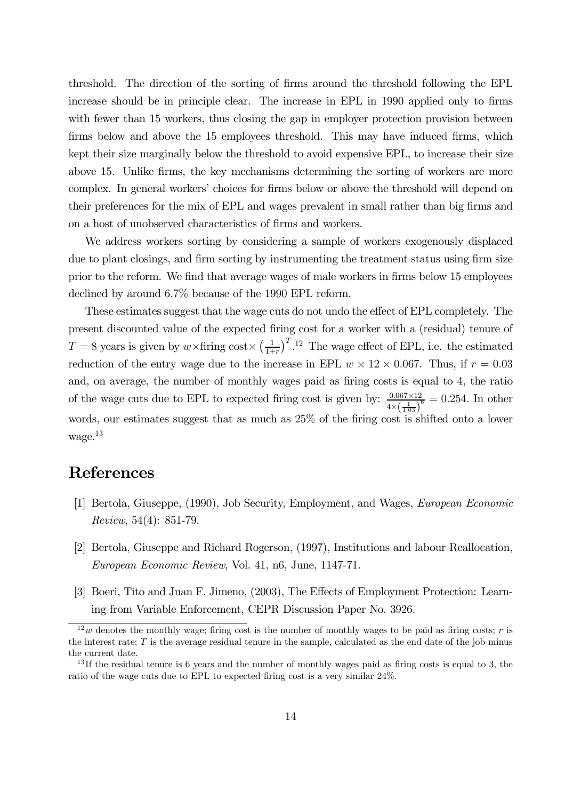threshold. The direction of the sorting of firms around the threshold following the EPL increase should be in principle clear. The increase in EPL in 1990 applied only to firms with fewer than 15 workers, thus closing the gap in employer protection provision between firms below and above the 15 employees threshold. This may have induced firms, which kept their size marginally below the threshold to avoid expensive EPL, to increase their size above 15. Unlike firms, the key mechanisms determining the sorting of workers are more complex. In general workers' choices for firms below or above the threshold will depend on their preferences for the mix of EPL and wages prevalent in small rather than big firms and on a host of unobserved characteristics of firms and workers.

We address workers sorting by considering a sample of workers exogenously displaced due to plant closings, and firm sorting by instrumenting the treatment status using firm size prior to the reform. We find that average wages of male workers in firms below 15 employees declined by around 6.7% because of the 1990 EPL reform.

These estimates suggest that the wage cuts do not undo the effect of EPL completely. The present discounted value of the expected firing cost for a worker with a (residual) tenure of  $T = 8$  years is given by  $w \times \text{firing cost} \times \left(\frac{1}{1+r}\right)^{T}$ .<sup>12</sup> The wage effect of EPL, i.e. the estimated reduction of the entry wage due to the increase in EPL  $w \times 12 \times 0.067$ . Thus, if  $r = 0.03$ and, on average, the number of monthly wages paid as firing costs is equal to 4, the ratio of the wage cuts due to EPL to expected firing cost is given by:  $\frac{0.067 \times 12}{(1 - v^2)^2}$  $4\times(\frac{1}{1.03})$  $\frac{2}{8}$  = 0.254. In other words, our estimates suggest that as much as  $25\%$  of the firing cost is shifted onto a lower wage.13

### References

- [1] Bertola, Giuseppe, (1990), Job Security, Employment, and Wages, European Economic Review, 54(4): 851-79.
- [2] Bertola, Giuseppe and Richard Rogerson, (1997), Institutions and labour Reallocation, European Economic Review, Vol. 41, n6, June, 1147-71.
- [3] Boeri, Tito and Juan F. Jimeno, (2003), The Effects of Employment Protection: Learning from Variable Enforcement, CEPR Discussion Paper No. 3926.

 $12w$  denotes the monthly wage; firing cost is the number of monthly wages to be paid as firing costs; r is the interest rate; T is the average residual tenure in the sample, calculated as the end date of the job minus the current date.

<sup>&</sup>lt;sup>13</sup>If the residual tenure is 6 years and the number of monthly wages paid as firing costs is equal to 3, the ratio of the wage cuts due to EPL to expected firing cost is a very similar 24%.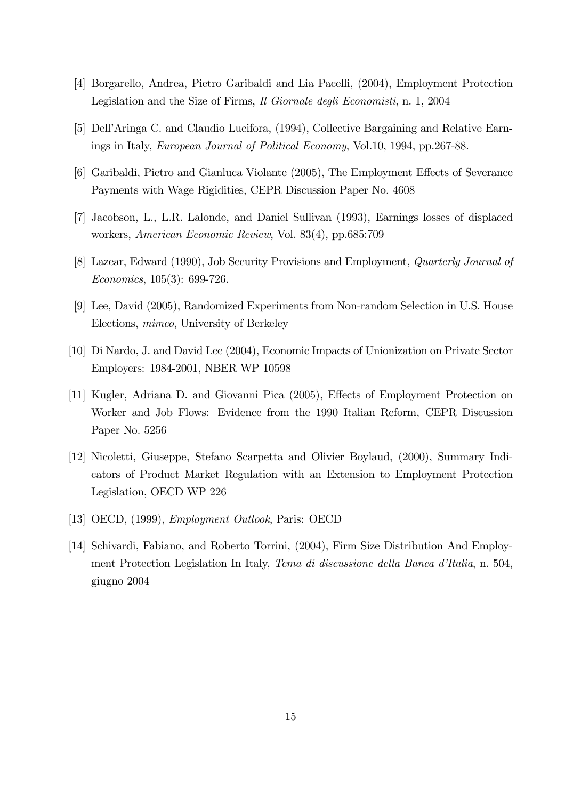- [4] Borgarello, Andrea, Pietro Garibaldi and Lia Pacelli, (2004), Employment Protection Legislation and the Size of Firms, Il Giornale degli Economisti, n. 1, 2004
- [5] Dell'Aringa C. and Claudio Lucifora, (1994), Collective Bargaining and Relative Earnings in Italy, European Journal of Political Economy, Vol.10, 1994, pp.267-88.
- [6] Garibaldi, Pietro and Gianluca Violante (2005), The Employment Effects of Severance Payments with Wage Rigidities, CEPR Discussion Paper No. 4608
- [7] Jacobson, L., L.R. Lalonde, and Daniel Sullivan (1993), Earnings losses of displaced workers, American Economic Review, Vol. 83(4), pp.685:709
- [8] Lazear, Edward (1990), Job Security Provisions and Employment, Quarterly Journal of Economics, 105(3): 699-726.
- [9] Lee, David (2005), Randomized Experiments from Non-random Selection in U.S. House Elections, mimeo, University of Berkeley
- [10] Di Nardo, J. and David Lee (2004), Economic Impacts of Unionization on Private Sector Employers: 1984-2001, NBER WP 10598
- [11] Kugler, Adriana D. and Giovanni Pica (2005), Effects of Employment Protection on Worker and Job Flows: Evidence from the 1990 Italian Reform, CEPR Discussion Paper No. 5256
- [12] Nicoletti, Giuseppe, Stefano Scarpetta and Olivier Boylaud, (2000), Summary Indicators of Product Market Regulation with an Extension to Employment Protection Legislation, OECD WP 226
- [13] OECD, (1999), Employment Outlook, Paris: OECD
- [14] Schivardi, Fabiano, and Roberto Torrini, (2004), Firm Size Distribution And Employment Protection Legislation In Italy, Tema di discussione della Banca d'Italia, n. 504, giugno 2004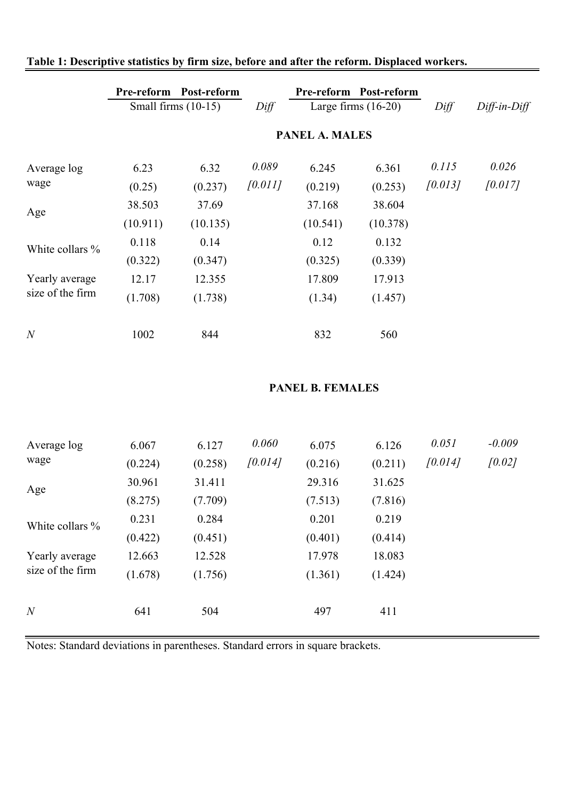|                                    |          | Pre-reform Post-reform<br>Small firms $(10-15)$ | Diff    | Pre-reform Post-reform<br>Large firms $(16-20)$ |                      | Diff    | Diff-in-Diff |
|------------------------------------|----------|-------------------------------------------------|---------|-------------------------------------------------|----------------------|---------|--------------|
|                                    |          |                                                 |         | <b>PANEL A. MALES</b>                           |                      |         |              |
| Average log                        | 6.23     | 6.32                                            | 0.089   | 6.245                                           | 6.361                | 0.115   | 0.026        |
| wage                               | (0.25)   | (0.237)                                         | [0.011] | (0.219)                                         | (0.253)              | [0.013] | [0.017]      |
|                                    | 38.503   | 37.69                                           |         | 37.168                                          | 38.604               |         |              |
| Age                                | (10.911) | (10.135)                                        |         | (10.541)                                        | (10.378)             |         |              |
| White collars %                    | 0.118    | 0.14                                            |         | 0.12                                            | 0.132                |         |              |
|                                    | (0.322)  | (0.347)                                         |         | (0.325)                                         | (0.339)              |         |              |
| Yearly average<br>size of the firm | 12.17    | 12.355                                          |         | 17.809                                          | 17.913               |         |              |
|                                    | (1.708)  | (1.738)                                         |         | (1.34)                                          | (1.457)              |         |              |
| $\boldsymbol{N}$                   | 1002     | 844                                             |         | 832                                             | 560                  |         |              |
|                                    |          |                                                 |         | <b>PANEL B. FEMALES</b>                         |                      |         |              |
|                                    |          |                                                 |         |                                                 |                      |         |              |
| Average log                        | 6.067    | 6.127                                           | 0.060   | 6.075                                           | 6.126                | 0.051   | $-0.009$     |
| wage                               | (0.224)  | (0.258)                                         | [0.014] | (0.216)                                         | (0.211)              | [0.014] | [0.02]       |
| Age                                | 30.961   | 31.411                                          |         | 29.316                                          | 31.625               |         |              |
|                                    | (8.275)  | (7.709)                                         |         | (7.513)                                         | (7.816)              |         |              |
| White collars %                    | 0.231    | 0.284                                           |         | 0.201                                           | 0.219                |         |              |
|                                    | (0.422)  | (0.451)                                         |         | (0.401)                                         | (0.414)              |         |              |
| Yearly average                     | 12.663   | 12.528                                          |         | 17.978                                          | 18.083               |         |              |
| size of the firm                   | (1.678)  | (1.756)                                         |         | (1, 361)                                        | $(1 \overline{A}2A)$ |         |              |

(1.678) (1.756) (1.361) (1.424)

### **Table 1: Descriptive statistics by firm size, before and after the reform. Displaced workers.**

Notes: Standard deviations in parentheses. Standard errors in square brackets.

*N* 641 504 497 411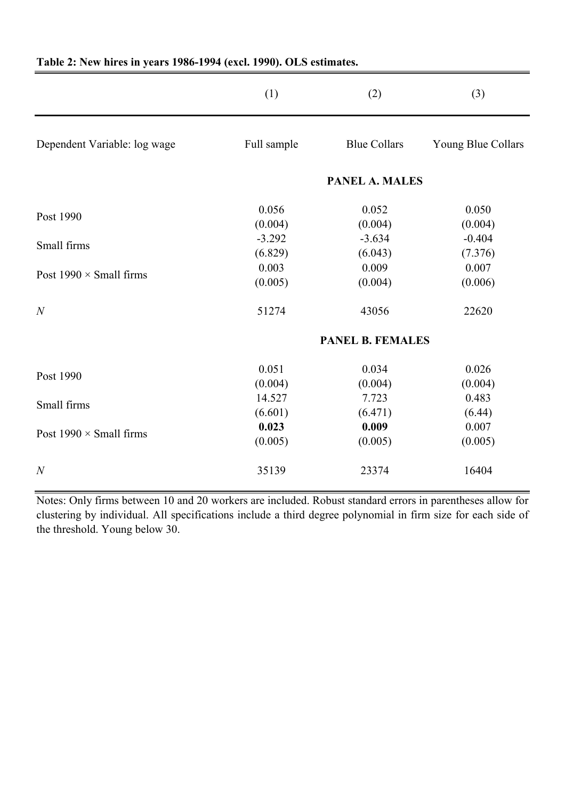|                                | (1)                     | (2)                   | (3)                |
|--------------------------------|-------------------------|-----------------------|--------------------|
| Dependent Variable: log wage   | Full sample             | <b>Blue Collars</b>   | Young Blue Collars |
|                                |                         | <b>PANEL A. MALES</b> |                    |
| Post 1990                      | 0.056                   | 0.052                 | 0.050              |
|                                | (0.004)                 | (0.004)               | (0.004)            |
| Small firms                    | $-3.292$                | $-3.634$              | $-0.404$           |
|                                | (6.829)                 | (6.043)               | (7.376)            |
| Post $1990 \times$ Small firms | 0.003                   | 0.009                 | 0.007              |
|                                | (0.005)                 | (0.004)               | (0.006)            |
| $\overline{N}$                 | 51274                   | 43056                 | 22620              |
|                                | <b>PANEL B. FEMALES</b> |                       |                    |
| Post 1990                      | 0.051                   | 0.034                 | 0.026              |
|                                | (0.004)                 | (0.004)               | (0.004)            |
| Small firms                    | 14.527                  | 7.723                 | 0.483              |
|                                | (6.601)                 | (6.471)               | (6.44)             |
| Post $1990 \times$ Small firms | 0.023                   | 0.009                 | 0.007              |
|                                | (0.005)                 | (0.005)               | (0.005)            |
| $\overline{N}$                 | 35139                   | 23374                 | 16404              |

### **Table 2: New hires in years 1986-1994 (excl. 1990). OLS estimates.**

Notes: Only firms between 10 and 20 workers are included. Robust standard errors in parentheses allow for clustering by individual. All specifications include a third degree polynomial in firm size for each side of the threshold. Young below 30.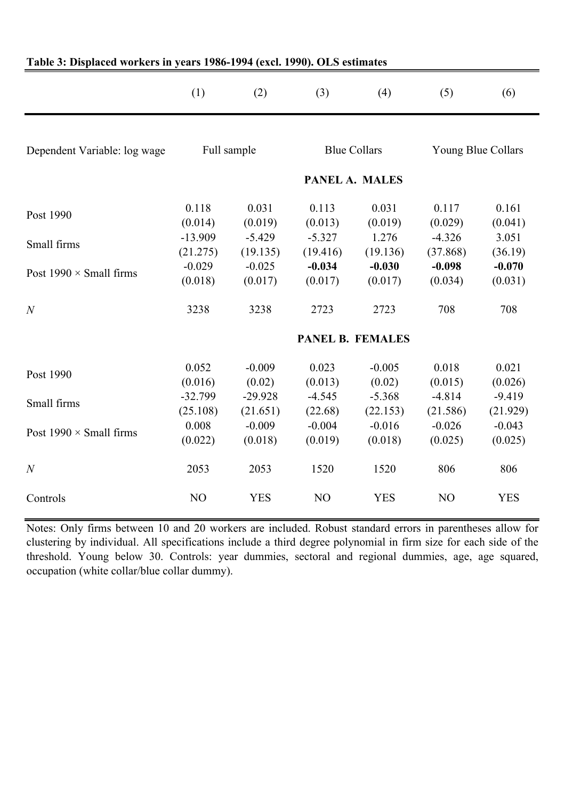|                                | (1)                   | (2)                   | (3)                  | (4)                     | (5)                  | (6)                  |
|--------------------------------|-----------------------|-----------------------|----------------------|-------------------------|----------------------|----------------------|
| Dependent Variable: log wage   |                       | Full sample           |                      | <b>Blue Collars</b>     |                      | Young Blue Collars   |
|                                |                       |                       |                      | PANEL A. MALES          |                      |                      |
| Post 1990                      | 0.118<br>(0.014)      | 0.031<br>(0.019)      | 0.113<br>(0.013)     | 0.031<br>(0.019)        | 0.117<br>(0.029)     | 0.161<br>(0.041)     |
| Small firms                    | $-13.909$<br>(21.275) | $-5.429$<br>(19.135)  | $-5.327$<br>(19.416) | 1.276<br>(19.136)       | $-4.326$<br>(37.868) | 3.051<br>(36.19)     |
| Post $1990 \times$ Small firms | $-0.029$<br>(0.018)   | $-0.025$<br>(0.017)   | $-0.034$<br>(0.017)  | $-0.030$<br>(0.017)     | $-0.098$<br>(0.034)  | $-0.070$<br>(0.031)  |
| $\overline{N}$                 | 3238                  | 3238                  | 2723                 | 2723                    | 708                  | 708                  |
|                                |                       |                       |                      | <b>PANEL B. FEMALES</b> |                      |                      |
| Post 1990                      | 0.052<br>(0.016)      | $-0.009$<br>(0.02)    | 0.023<br>(0.013)     | $-0.005$<br>(0.02)      | 0.018<br>(0.015)     | 0.021<br>(0.026)     |
| Small firms                    | $-32.799$<br>(25.108) | $-29.928$<br>(21.651) | $-4.545$<br>(22.68)  | $-5.368$<br>(22.153)    | $-4.814$<br>(21.586) | $-9.419$<br>(21.929) |
| Post $1990 \times$ Small firms | 0.008<br>(0.022)      | $-0.009$<br>(0.018)   | $-0.004$<br>(0.019)  | $-0.016$<br>(0.018)     | $-0.026$<br>(0.025)  | $-0.043$<br>(0.025)  |
| $\boldsymbol{N}$               | 2053                  | 2053                  | 1520                 | 1520                    | 806                  | 806                  |
| Controls                       | N <sub>O</sub>        | <b>YES</b>            | N <sub>O</sub>       | <b>YES</b>              | N <sub>O</sub>       | <b>YES</b>           |

#### **Table 3: Displaced workers in years 1986-1994 (excl. 1990). OLS estimates**

Notes: Only firms between 10 and 20 workers are included. Robust standard errors in parentheses allow for clustering by individual. All specifications include a third degree polynomial in firm size for each side of the threshold. Young below 30. Controls: year dummies, sectoral and regional dummies, age, age squared, occupation (white collar/blue collar dummy).